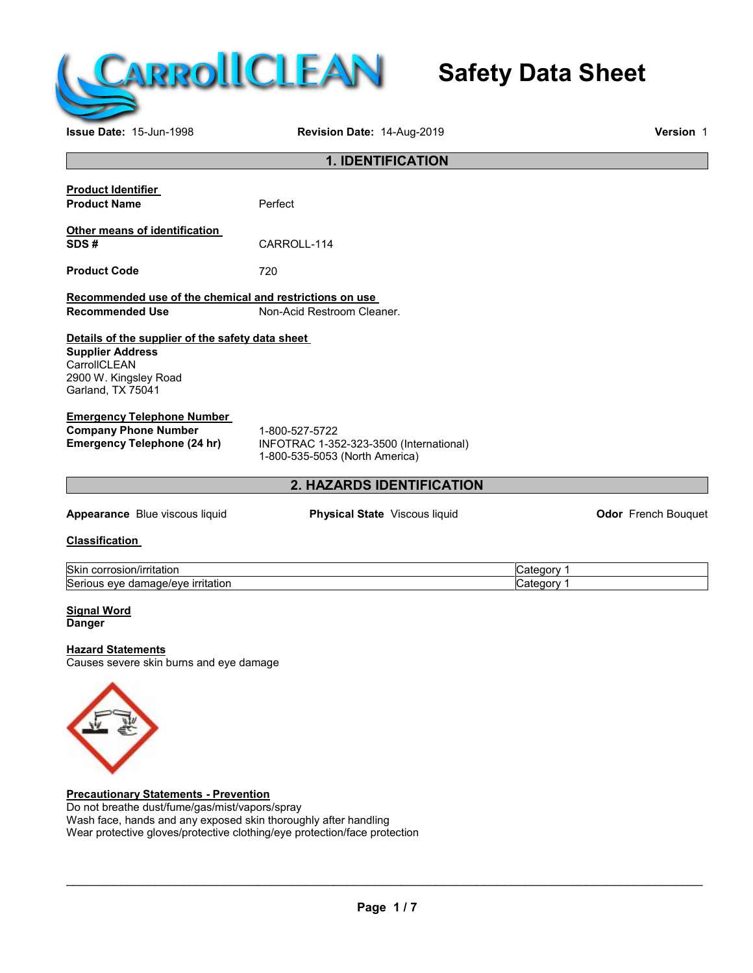

# **Safety Data Sheet**

**Issue Date:** 15-Jun-1998 **Revision Date:** 14-Aug-2019 **Version** 1

|                                                                                                                                           | <b>1. IDENTIFICATION</b>                                                                    |                          |                            |
|-------------------------------------------------------------------------------------------------------------------------------------------|---------------------------------------------------------------------------------------------|--------------------------|----------------------------|
| <b>Product Identifier</b><br><b>Product Name</b>                                                                                          | Perfect                                                                                     |                          |                            |
| Other means of identification<br>SDS#                                                                                                     | CARROLL-114                                                                                 |                          |                            |
| <b>Product Code</b>                                                                                                                       | 720                                                                                         |                          |                            |
| Recommended use of the chemical and restrictions on use<br><b>Recommended Use</b>                                                         | Non-Acid Restroom Cleaner.                                                                  |                          |                            |
| Details of the supplier of the safety data sheet<br><b>Supplier Address</b><br>CarrollCLEAN<br>2900 W. Kingsley Road<br>Garland, TX 75041 |                                                                                             |                          |                            |
| <b>Emergency Telephone Number</b><br><b>Company Phone Number</b><br><b>Emergency Telephone (24 hr)</b>                                    | 1-800-527-5722<br>INFOTRAC 1-352-323-3500 (International)<br>1-800-535-5053 (North America) |                          |                            |
|                                                                                                                                           | 2. HAZARDS IDENTIFICATION                                                                   |                          |                            |
| Appearance Blue viscous liquid                                                                                                            | Physical State Viscous liquid                                                               |                          | <b>Odor</b> French Bouquet |
| <b>Classification</b>                                                                                                                     |                                                                                             |                          |                            |
| Skin corrosion/irritation<br>Serious eye damage/eye irritation                                                                            |                                                                                             | Category 1<br>Category 1 |                            |
| <b>Signal Word</b><br><b>Danger</b>                                                                                                       |                                                                                             |                          |                            |
| <b>Hazard Statements</b><br>Causes severe skin burns and eye damage                                                                       |                                                                                             |                          |                            |
|                                                                                                                                           |                                                                                             |                          |                            |

**Precautionary Statements - Prevention** Do not breathe dust/fume/gas/mist/vapors/spray Wash face, hands and any exposed skin thoroughly after handling Wear protective gloves/protective clothing/eye protection/face protection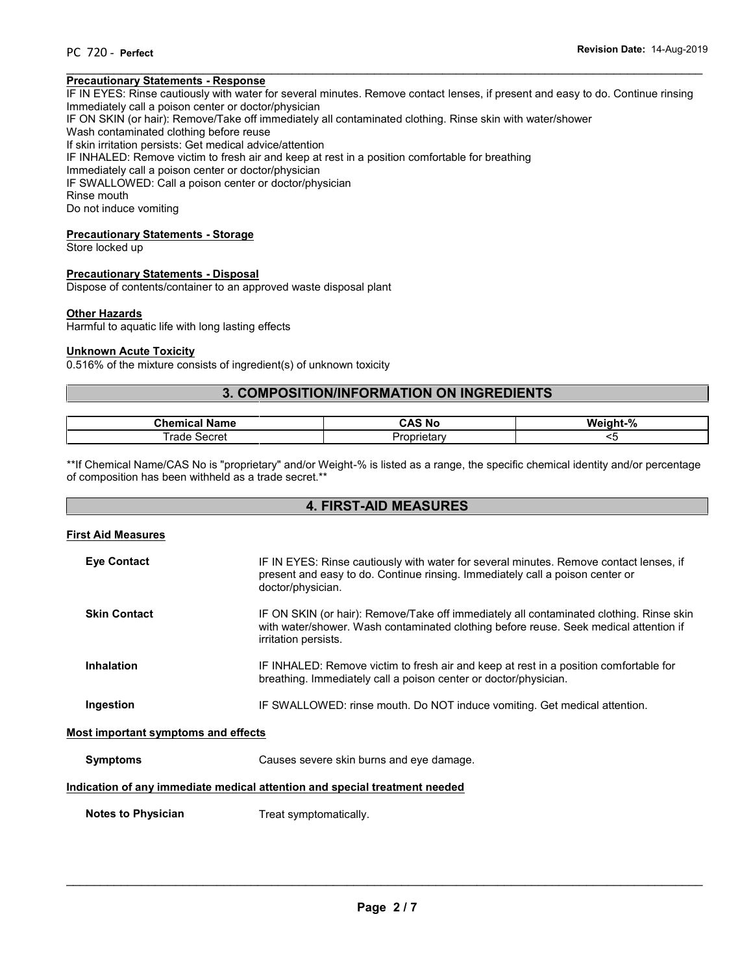#### $\overline{\phantom{a}}$  , and the contribution of the contribution of the contribution of the contribution of the contribution of the contribution of the contribution of the contribution of the contribution of the contribution of the **Precautionary Statements - Response**

IF IN EYES: Rinse cautiously with water for several minutes. Remove contact lenses, if present and easy to do. Continue rinsing Immediately call a poison center or doctor/physician

IF ON SKIN (or hair): Remove/Take off immediately all contaminated clothing. Rinse skin with water/shower

Wash contaminated clothing before reuse

If skin irritation persists: Get medical advice/attention

IF INHALED: Remove victim to fresh air and keep at rest in a position comfortable for breathing

Immediately call a poison center or doctor/physician

IF SWALLOWED: Call a poison center or doctor/physician

Rinse mouth

Do not induce vomiting

#### **Precautionary Statements - Storage**

Store locked up

#### **Precautionary Statements - Disposal**

Dispose of contents/container to an approved waste disposal plant

#### **Other Hazards**

Harmful to aquatic life with long lasting effects

#### **Unknown Acute Toxicity**

0.516% of the mixture consists of ingredient(s) of unknown toxicity

# **3. COMPOSITION/INFORMATION ON INGREDIENTS**

| Chem<br>lame<br>________  | . NG<br>___             | $\alpha$<br>w،<br><br>70 |
|---------------------------|-------------------------|--------------------------|
| Secret<br>.<br>rao<br>∸וי | J۳<br>. ietarv<br>ונונו |                          |

\*\*If Chemical Name/CAS No is "proprietary" and/or Weight-% is listed as a range, the specific chemical identity and/or percentage of composition has been withheld as a trade secret.\*\*

# **4. FIRST-AID MEASURES**

#### **First Aid Measures**

| <b>Eye Contact</b>                  | IF IN EYES: Rinse cautiously with water for several minutes. Remove contact lenses, if<br>present and easy to do. Continue rinsing. Immediately call a poison center or<br>doctor/physician.             |
|-------------------------------------|----------------------------------------------------------------------------------------------------------------------------------------------------------------------------------------------------------|
| <b>Skin Contact</b>                 | IF ON SKIN (or hair): Remove/Take off immediately all contaminated clothing. Rinse skin<br>with water/shower. Wash contaminated clothing before reuse. Seek medical attention if<br>irritation persists. |
| <b>Inhalation</b>                   | IF INHALED: Remove victim to fresh air and keep at rest in a position comfortable for<br>breathing. Immediately call a poison center or doctor/physician.                                                |
| Ingestion                           | IF SWALLOWED: rinse mouth. Do NOT induce vomiting. Get medical attention.                                                                                                                                |
| Most important symptoms and effects |                                                                                                                                                                                                          |
| <b>Symptoms</b>                     | Causes severe skin burns and eye damage.                                                                                                                                                                 |
|                                     | Indication of any immediate medical attention and special treatment needed                                                                                                                               |
| <b>Notes to Physician</b>           | Treat symptomatically.                                                                                                                                                                                   |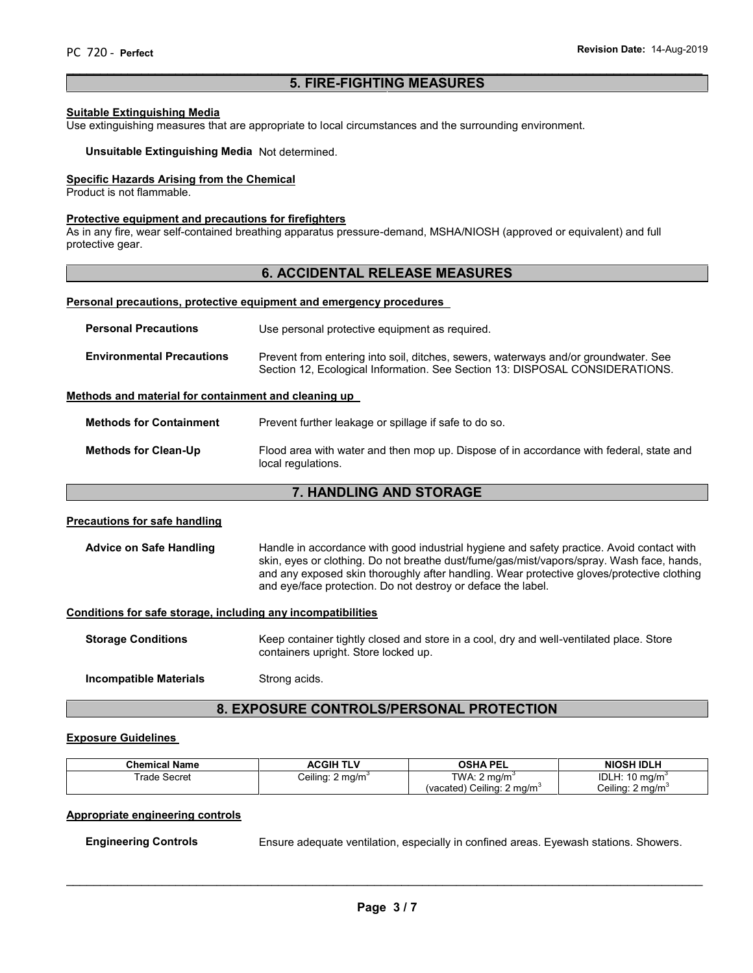# **5. FIRE-FIGHTING MEASURES**

 $\overline{\phantom{a}}$  , and the contribution of the contribution of the contribution of the contribution of the contribution of the contribution of the contribution of the contribution of the contribution of the contribution of the

#### **Suitable Extinguishing Media**

Use extinguishing measures that are appropriate to local circumstances and the surrounding environment.

**Unsuitable Extinguishing Media** Not determined.

# **Specific Hazards Arising from the Chemical**

Product is not flammable.

#### **Protective equipment and precautions for firefighters**

As in any fire, wear self-contained breathing apparatus pressure-demand, MSHA/NIOSH (approved or equivalent) and full protective gear.

# **6. ACCIDENTAL RELEASE MEASURES**

#### **Personal precautions, protective equipment and emergency procedures**

| <b>Personal Precautions</b>      | Use personal protective equipment as required.                                                                                                                      |
|----------------------------------|---------------------------------------------------------------------------------------------------------------------------------------------------------------------|
| <b>Environmental Precautions</b> | Prevent from entering into soil, ditches, sewers, waterways and/or groundwater. See<br>Section 12, Ecological Information. See Section 13: DISPOSAL CONSIDERATIONS. |

### **Methods and material for containment and cleaning up**

**Methods for Containment** Prevent further leakage or spillage if safe to do so.

**Methods for Clean-Up** Flood area with water and then mop up. Dispose of in accordance with federal, state and local regulations.

# **7. HANDLING AND STORAGE**

#### **Precautions for safe handling**

Advice on Safe Handling **Handle in accordance with good industrial hygiene and safety practice. Avoid contact with** skin, eyes or clothing. Do not breathe dust/fume/gas/mist/vapors/spray. Wash face, hands, and any exposed skin thoroughly after handling. Wear protective gloves/protective clothing and eye/face protection. Do not destroy or deface the label.

#### **Conditions for safe storage, including any incompatibilities**

**Storage Conditions** Keep container tightly closed and store in a cool, dry and well-ventilated place. Store containers upright. Store locked up.

**Incompatible Materials** Strong acids.

# **8. EXPOSURE CONTROLS/PERSONAL PROTECTION**

#### **Exposure Guidelines**

| <b>Chemical Name</b> | <b>ACGIH TLV</b>            | OSHA PEL                     | <b>NIOSH IDLH</b>             |
|----------------------|-----------------------------|------------------------------|-------------------------------|
| Trade Secret         | Ceiling: $2 \text{ mg/m}^3$ | TWA: 2<br>∠ ma/m°            | 10 mg/m <sup>3</sup><br>IDLH: |
|                      |                             | (vacated) Ceiling:<br>2 ma/m | Ceilina: 2 ma/m`              |

#### **Appropriate engineering controls**

**Engineering Controls** Ensure adequate ventilation, especially in confined areas. Eyewash stations. Showers.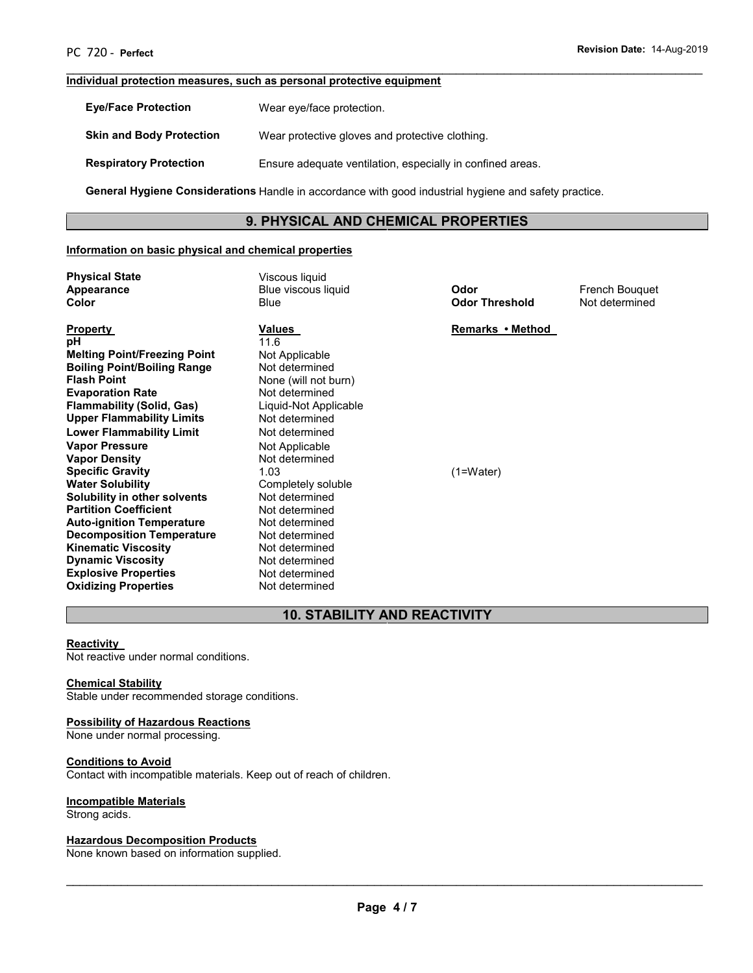# **Individual protection measures, such as personal protective equipment**

| <b>Eve/Face Protection</b>      | Wear eye/face protection.                                                                             |
|---------------------------------|-------------------------------------------------------------------------------------------------------|
| <b>Skin and Body Protection</b> | Wear protective gloves and protective clothing.                                                       |
| <b>Respiratory Protection</b>   | Ensure adequate ventilation, especially in confined areas.                                            |
|                                 | General Hygiene Considerations Handle in accordance with good industrial hygiene and safety practice. |

# **9. PHYSICAL AND CHEMICAL PROPERTIES**

 $\overline{\phantom{a}}$  , and the contribution of the contribution of the contribution of the contribution of the contribution of the contribution of the contribution of the contribution of the contribution of the contribution of the

# **Information on basic physical and chemical properties**

| <b>Physical State</b><br>Appearance<br>Color | Viscous liquid<br>Blue viscous liquid<br>Blue | Odor<br><b>Odor Threshold</b> | French Bouquet<br>Not determined |
|----------------------------------------------|-----------------------------------------------|-------------------------------|----------------------------------|
| <u>Property</u>                              | Values                                        | Remarks • Method              |                                  |
| рH                                           | 11.6                                          |                               |                                  |
| <b>Melting Point/Freezing Point</b>          | Not Applicable                                |                               |                                  |
| <b>Boiling Point/Boiling Range</b>           | Not determined                                |                               |                                  |
| <b>Flash Point</b>                           | None (will not burn)                          |                               |                                  |
| <b>Evaporation Rate</b>                      | Not determined                                |                               |                                  |
| <b>Flammability (Solid, Gas)</b>             | Liquid-Not Applicable                         |                               |                                  |
| <b>Upper Flammability Limits</b>             | Not determined                                |                               |                                  |
| <b>Lower Flammability Limit</b>              | Not determined                                |                               |                                  |
| <b>Vapor Pressure</b>                        | Not Applicable                                |                               |                                  |
| <b>Vapor Density</b>                         | Not determined                                |                               |                                  |
| <b>Specific Gravity</b>                      | 1.03                                          | $(1=Water)$                   |                                  |
| <b>Water Solubility</b>                      | Completely soluble                            |                               |                                  |
| Solubility in other solvents                 | Not determined                                |                               |                                  |
| <b>Partition Coefficient</b>                 | Not determined                                |                               |                                  |
| <b>Auto-ignition Temperature</b>             | Not determined                                |                               |                                  |
| <b>Decomposition Temperature</b>             | Not determined                                |                               |                                  |
| <b>Kinematic Viscosity</b>                   | Not determined                                |                               |                                  |
| <b>Dynamic Viscosity</b>                     | Not determined                                |                               |                                  |
| <b>Explosive Properties</b>                  | Not determined                                |                               |                                  |
| Oxidizing Properties                         | Not determined                                |                               |                                  |

# **10. STABILITY AND REACTIVITY**

#### **Reactivity**

Not reactive under normal conditions.

### **Chemical Stability**

**Oxidizing Properties** 

Stable under recommended storage conditions.

#### **Possibility of Hazardous Reactions**

None under normal processing.

# **Conditions to Avoid**

Contact with incompatible materials. Keep out of reach of children.

#### **Incompatible Materials**

Strong acids.

#### **Hazardous Decomposition Products**

None known based on information supplied.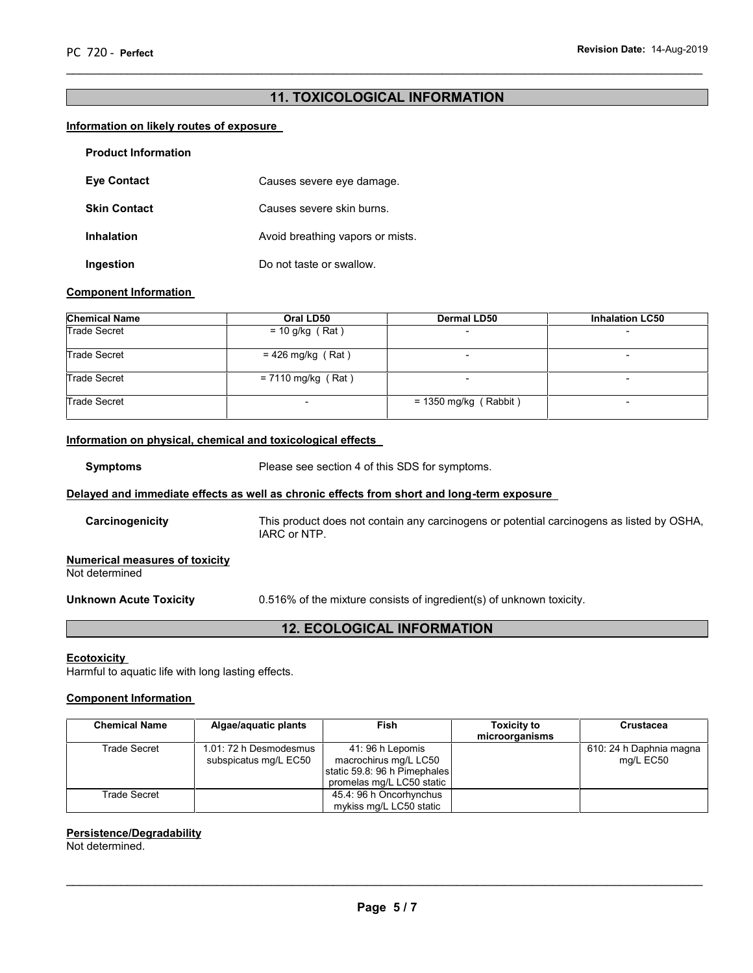# **11. TOXICOLOGICAL INFORMATION**

 $\overline{\phantom{a}}$  , and the contribution of the contribution of the contribution of the contribution of the contribution of the contribution of the contribution of the contribution of the contribution of the contribution of the

# **Information on likely routes of exposure**

| <b>Product Information</b> |                                  |
|----------------------------|----------------------------------|
| <b>Eye Contact</b>         | Causes severe eye damage.        |
| <b>Skin Contact</b>        | Causes severe skin burns.        |
| <b>Inhalation</b>          | Avoid breathing vapors or mists. |
| Ingestion                  | Do not taste or swallow.         |

# **Component Information**

| <b>Chemical Name</b><br>Oral LD50 |                      | <b>Dermal LD50</b>       | <b>Inhalation LC50</b>   |  |
|-----------------------------------|----------------------|--------------------------|--------------------------|--|
| <b>Trade Secret</b>               | $= 10$ g/kg (Rat)    | $\overline{\phantom{0}}$ | $\overline{\phantom{0}}$ |  |
| <b>Trade Secret</b>               | $= 426$ mg/kg (Rat)  |                          |                          |  |
| <b>Trade Secret</b>               | $= 7110$ mg/kg (Rat) |                          |                          |  |
| <b>Trade Secret</b>               |                      | $= 1350$ mg/kg (Rabbit)  |                          |  |

# **Information on physical, chemical and toxicological effects**

**Symptoms** Please see section 4 of this SDS for symptoms.

# **Delayed and immediate effects as well as chronic effects from short and long-term exposure**

| Carcinogenicity                                         | This product does not contain any carcinogens or potential carcinogens as listed by OSHA,<br>IARC or NTP. |
|---------------------------------------------------------|-----------------------------------------------------------------------------------------------------------|
| <b>Numerical measures of toxicity</b><br>Not determined |                                                                                                           |

**Unknown Acute Toxicity 2.516%** of the mixture consists of ingredient(s) of unknown toxicity.

# **12. ECOLOGICAL INFORMATION**

#### **Ecotoxicity**

Harmful to aquatic life with long lasting effects.

# **Component Information**

| <b>Chemical Name</b> | Algae/aquatic plants   | Fish                         | <b>Toxicity to</b> | <b>Crustacea</b>        |
|----------------------|------------------------|------------------------------|--------------------|-------------------------|
|                      |                        |                              | microorganisms     |                         |
| Trade Secret         | 1.01: 72 h Desmodesmus | 41: 96 h Lepomis             |                    | 610: 24 h Daphnia magna |
|                      | subspicatus mg/L EC50  | macrochirus mg/L LC50        |                    | mg/L EC50               |
|                      |                        | static 59.8: 96 h Pimephales |                    |                         |
|                      |                        | promelas mg/L LC50 static    |                    |                         |
| <b>Trade Secret</b>  |                        | 45.4: 96 h Oncorhynchus      |                    |                         |
|                      |                        | mykiss mg/L LC50 static      |                    |                         |

#### **Persistence/Degradability**

Not determined.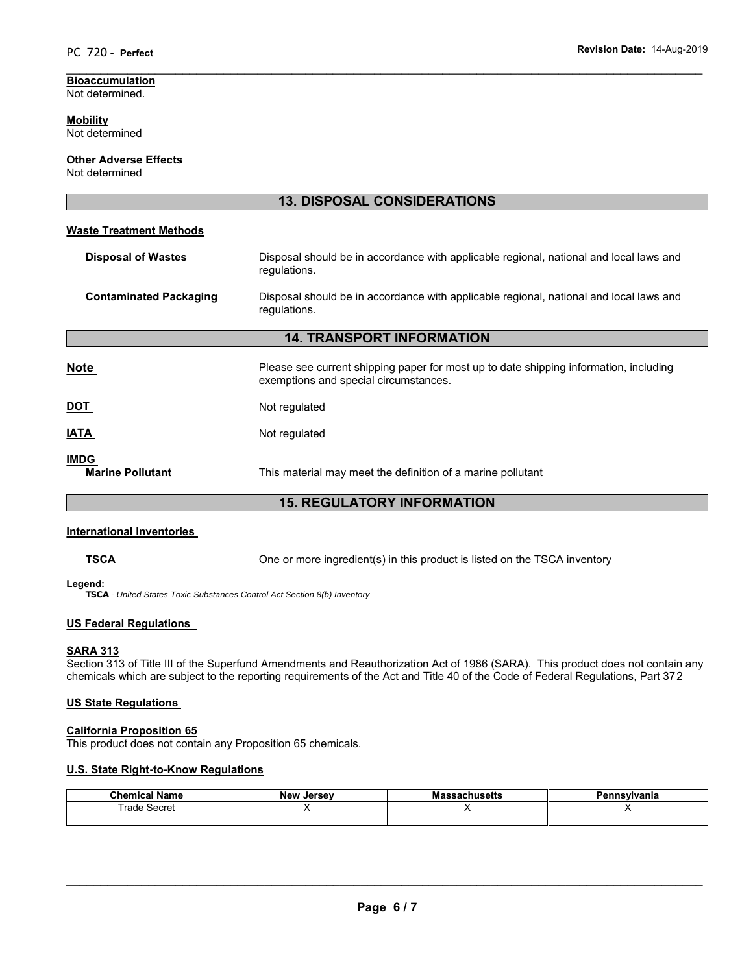#### **Bioaccumulation** Not determined.

#### **Mobility** Not determined

**Other Adverse Effects**

# Not determined

|                                        | <b>13. DISPOSAL CONSIDERATIONS</b>                                                                                             |  |
|----------------------------------------|--------------------------------------------------------------------------------------------------------------------------------|--|
| <b>Waste Treatment Methods</b>         |                                                                                                                                |  |
| <b>Disposal of Wastes</b>              | Disposal should be in accordance with applicable regional, national and local laws and<br>regulations.                         |  |
| <b>Contaminated Packaging</b>          | Disposal should be in accordance with applicable regional, national and local laws and<br>regulations.                         |  |
| <b>14. TRANSPORT INFORMATION</b>       |                                                                                                                                |  |
| <b>Note</b>                            | Please see current shipping paper for most up to date shipping information, including<br>exemptions and special circumstances. |  |
| <b>DOT</b>                             | Not regulated                                                                                                                  |  |
| <b>IATA</b>                            | Not regulated                                                                                                                  |  |
| <b>IMDG</b><br><b>Marine Pollutant</b> | This material may meet the definition of a marine pollutant                                                                    |  |

 $\overline{\phantom{a}}$  , and the contribution of the contribution of the contribution of the contribution of the contribution of the contribution of the contribution of the contribution of the contribution of the contribution of the

# **15. REGULATORY INFORMATION**

# **International Inventories**

**TSCA** One or more ingredient(s) in this product is listed on the TSCA inventory

#### **Legend:**

*TSCA - United States Toxic Substances Control Act Section 8(b) Inventory*

# **US Federal Regulations**

# **SARA 313**

Section 313 of Title III of the Superfund Amendments and Reauthorization Act of 1986 (SARA). This product does not contain any chemicals which are subject to the reporting requirements of the Act and Title 40 of the Code of Federal Regulations, Part 372

# **US State Regulations**

# **California Proposition 65**

This product does not contain any Proposition 65 chemicals.

# **U.S. State Right-to-Know Regulations**

| <b>Chemical Name</b> | New<br>, Jersev | ssachusetts<br>ша | Pennsvlvania |
|----------------------|-----------------|-------------------|--------------|
| rade Secret          |                 | . .               |              |